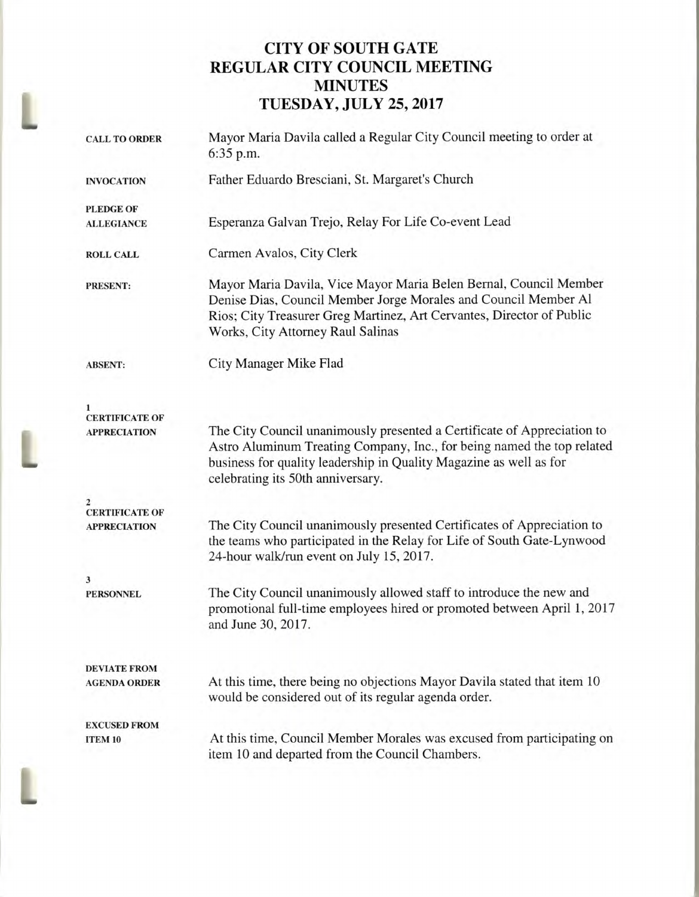## **CITY OF SOUTH GATE REGULAR CITY COUNCIL MEETING MINUTES TUESDAY, JULY 25, 2017**

| <b>CALL TO ORDER</b>                         | Mayor Maria Davila called a Regular City Council meeting to order at<br>6:35 p.m.                                                                                                                                                                            |  |  |
|----------------------------------------------|--------------------------------------------------------------------------------------------------------------------------------------------------------------------------------------------------------------------------------------------------------------|--|--|
| <b>INVOCATION</b>                            | Father Eduardo Bresciani, St. Margaret's Church                                                                                                                                                                                                              |  |  |
| <b>PLEDGE OF</b>                             |                                                                                                                                                                                                                                                              |  |  |
| <b>ALLEGIANCE</b>                            | Esperanza Galvan Trejo, Relay For Life Co-event Lead                                                                                                                                                                                                         |  |  |
| <b>ROLL CALL</b>                             | Carmen Avalos, City Clerk                                                                                                                                                                                                                                    |  |  |
| <b>PRESENT:</b>                              | Mayor Maria Davila, Vice Mayor Maria Belen Bernal, Council Member<br>Denise Dias, Council Member Jorge Morales and Council Member Al<br>Rios; City Treasurer Greg Martinez, Art Cervantes, Director of Public<br>Works, City Attorney Raul Salinas           |  |  |
| <b>ABSENT:</b>                               | City Manager Mike Flad                                                                                                                                                                                                                                       |  |  |
| <b>CERTIFICATE OF</b>                        |                                                                                                                                                                                                                                                              |  |  |
| <b>APPRECIATION</b>                          | The City Council unanimously presented a Certificate of Appreciation to<br>Astro Aluminum Treating Company, Inc., for being named the top related<br>business for quality leadership in Quality Magazine as well as for<br>celebrating its 50th anniversary. |  |  |
|                                              |                                                                                                                                                                                                                                                              |  |  |
| <b>CERTIFICATE OF</b><br><b>APPRECIATION</b> | The City Council unanimously presented Certificates of Appreciation to<br>the teams who participated in the Relay for Life of South Gate-Lynwood<br>24-hour walk/run event on July 15, 2017.                                                                 |  |  |
| 3                                            |                                                                                                                                                                                                                                                              |  |  |
| <b>PERSONNEL</b>                             | The City Council unanimously allowed staff to introduce the new and<br>promotional full-time employees hired or promoted between April 1, 2017<br>and June 30, 2017.                                                                                         |  |  |
| <b>DEVIATE FROM</b>                          |                                                                                                                                                                                                                                                              |  |  |
| <b>AGENDA ORDER</b>                          | At this time, there being no objections Mayor Davila stated that item 10<br>would be considered out of its regular agenda order.                                                                                                                             |  |  |
| <b>EXCUSED FROM</b>                          |                                                                                                                                                                                                                                                              |  |  |
| ITEM 10                                      | At this time, Council Member Morales was excused from participating on<br>item 10 and departed from the Council Chambers.                                                                                                                                    |  |  |
|                                              |                                                                                                                                                                                                                                                              |  |  |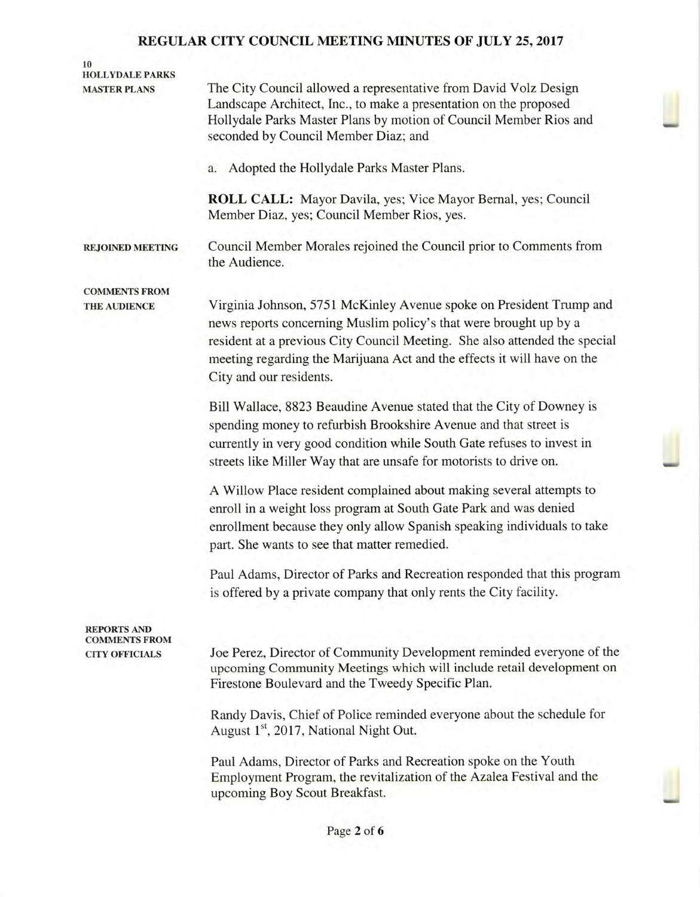| 10<br><b>HOLLYDALE PARKS</b>                                        |                                                                                                                                                                                                                                                                                                                              |
|---------------------------------------------------------------------|------------------------------------------------------------------------------------------------------------------------------------------------------------------------------------------------------------------------------------------------------------------------------------------------------------------------------|
| <b>MASTER PLANS</b>                                                 | The City Council allowed a representative from David Volz Design<br>Landscape Architect, Inc., to make a presentation on the proposed<br>Hollydale Parks Master Plans by motion of Council Member Rios and<br>seconded by Council Member Diaz; and                                                                           |
|                                                                     | Adopted the Hollydale Parks Master Plans.<br>a.                                                                                                                                                                                                                                                                              |
|                                                                     | <b>ROLL CALL:</b> Mayor Davila, yes; Vice Mayor Bernal, yes; Council<br>Member Diaz, yes; Council Member Rios, yes.                                                                                                                                                                                                          |
| <b>REJOINED MEETING</b>                                             | Council Member Morales rejoined the Council prior to Comments from<br>the Audience.                                                                                                                                                                                                                                          |
| <b>COMMENTS FROM</b><br>THE AUDIENCE                                | Virginia Johnson, 5751 McKinley Avenue spoke on President Trump and<br>news reports concerning Muslim policy's that were brought up by a<br>resident at a previous City Council Meeting. She also attended the special<br>meeting regarding the Marijuana Act and the effects it will have on the<br>City and our residents. |
|                                                                     | Bill Wallace, 8823 Beaudine Avenue stated that the City of Downey is<br>spending money to refurbish Brookshire Avenue and that street is<br>currently in very good condition while South Gate refuses to invest in<br>streets like Miller Way that are unsafe for motorists to drive on.                                     |
|                                                                     | A Willow Place resident complained about making several attempts to<br>enroll in a weight loss program at South Gate Park and was denied<br>enrollment because they only allow Spanish speaking individuals to take<br>part. She wants to see that matter remedied.                                                          |
|                                                                     | Paul Adams, Director of Parks and Recreation responded that this program<br>is offered by a private company that only rents the City facility.                                                                                                                                                                               |
| <b>REPORTS AND</b><br><b>COMMENTS FROM</b><br><b>CITY OFFICIALS</b> | Joe Perez, Director of Community Development reminded everyone of the<br>upcoming Community Meetings which will include retail development on<br>Firestone Boulevard and the Tweedy Specific Plan.                                                                                                                           |
|                                                                     | Randy Davis, Chief of Police reminded everyone about the schedule for<br>August 1 <sup>st</sup> , 2017, National Night Out.                                                                                                                                                                                                  |
|                                                                     | Paul Adams, Director of Parks and Recreation spoke on the Youth<br>Employment Program, the revitalization of the Azalea Festival and the<br>upcoming Boy Scout Breakfast.                                                                                                                                                    |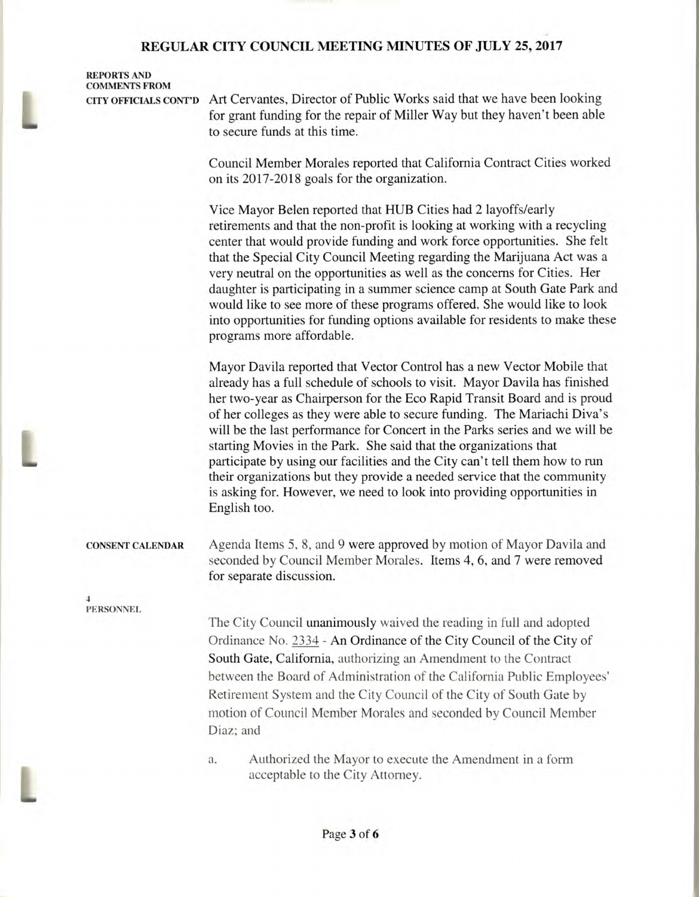**REPORTS AND COMMENTS FROM** 

**CITY OFFICIALS CONT'D** Art Cervantes, Director of Public Works said that we have been looking for grant funding for the repair of Miller Way but they haven't been able to secure funds at this time.

> Council Member Morales reported that California Contract Cities worked on its 2017-2018 goals for the organization.

Vice Mayor Belen reported that HUB Cities had 2 layoffs/early retirements and that the non-profit is looking at working with a recycling center that would provide funding and work force opportunities. She felt that the Special City Council Meeting regarding the Marijuana Act was a very neutral on the opportunities as well as the concerns for Cities. Her daughter is participating in a summer science camp at South Gate Park and would like to see more of these programs offered. She would like to look into opportunities for funding options available for residents to make these programs more affordable.

Mayor Davila reported that Vector Control has a new Vector Mobile that already has a full schedule of schools to visit. Mayor Davila has finished her two-year as Chairperson for the Eco Rapid Transit Board and is proud of her colleges as they were able to secure funding. The Mariachi Diva's will be the last performance for Concert in the Parks series and we will be starting Movies in the Park. She said that the organizations that participate by using our facilities and the City can't tell them how to run their organizations but they provide a needed service that the community is asking for. However, we need to look into providing opportunities in English too.

## **CONSENT CALENDAR** Agenda Items 5, 8, and 9 were approved by motion of Mayor Davila and

**4 PERSONNEL** 

L

The City Council unanimously waived the reading in full and adopted Ordinance No. 2334 - An Ordinance of the City Council of the City of South Gate, California, authorizing an Amendment to the Contract between the Board of Administration of the California Public Employees' Retirement System and the City Council of the City of South Gate by motion of Council Member Morales and seconded by Council Member Diaz; and

seconded by Council Member Morales. Items 4, 6, and 7 were removed

a. Authorized the Mayor to execute the Amendment in a form acceptable to the City Attorney.

for separate discussion.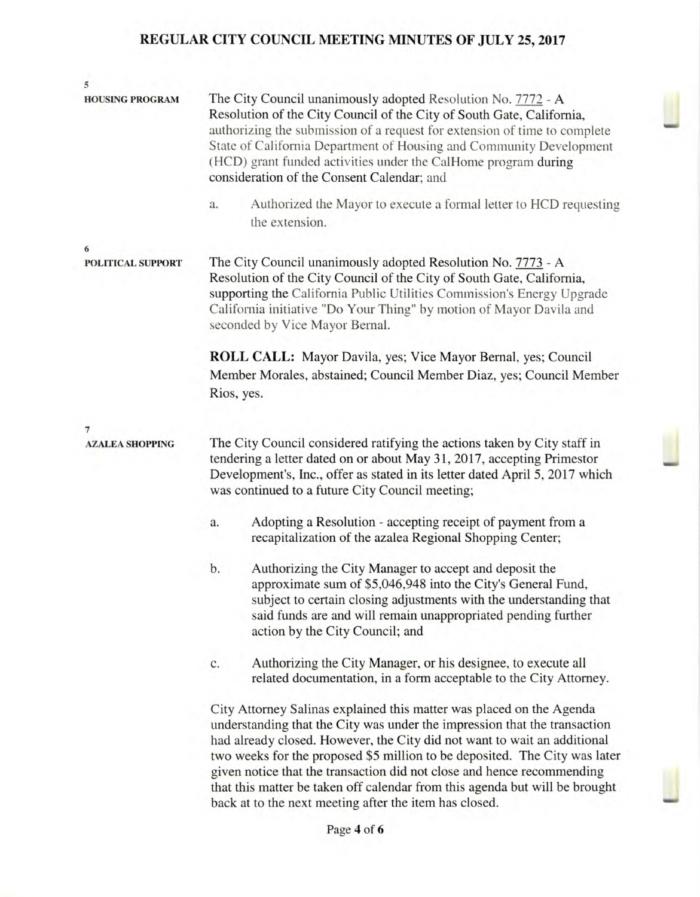| 5                                        |                                                                                                                                                                                                                                                                                                                                                                                                                                                                                                                                |  |  |
|------------------------------------------|--------------------------------------------------------------------------------------------------------------------------------------------------------------------------------------------------------------------------------------------------------------------------------------------------------------------------------------------------------------------------------------------------------------------------------------------------------------------------------------------------------------------------------|--|--|
| <b>HOUSING PROGRAM</b>                   | The City Council unanimously adopted Resolution No. 7772 - A<br>Resolution of the City Council of the City of South Gate, California,<br>authorizing the submission of a request for extension of time to complete<br>State of California Department of Housing and Community Development<br>(HCD) grant funded activities under the CalHome program during<br>consideration of the Consent Calendar; and<br>Authorized the Mayor to execute a formal letter to HCD requesting<br>a.                                           |  |  |
|                                          | the extension.                                                                                                                                                                                                                                                                                                                                                                                                                                                                                                                 |  |  |
| 6<br>POLITICAL SUPPORT                   | The City Council unanimously adopted Resolution No. 7773 - A<br>Resolution of the City Council of the City of South Gate, California,<br>supporting the California Public Utilities Commission's Energy Upgrade<br>California initiative "Do Your Thing" by motion of Mayor Davila and<br>seconded by Vice Mayor Bernal.                                                                                                                                                                                                       |  |  |
|                                          | <b>ROLL CALL:</b> Mayor Davila, yes; Vice Mayor Bernal, yes; Council<br>Member Morales, abstained; Council Member Diaz, yes; Council Member<br>Rios, yes.                                                                                                                                                                                                                                                                                                                                                                      |  |  |
|                                          |                                                                                                                                                                                                                                                                                                                                                                                                                                                                                                                                |  |  |
| $\overline{7}$<br><b>AZALEA SHOPPING</b> | The City Council considered ratifying the actions taken by City staff in<br>tendering a letter dated on or about May 31, 2017, accepting Primestor<br>Development's, Inc., offer as stated in its letter dated April 5, 2017 which<br>was continued to a future City Council meeting;                                                                                                                                                                                                                                          |  |  |
|                                          | Adopting a Resolution - accepting receipt of payment from a<br>a.<br>recapitalization of the azalea Regional Shopping Center;                                                                                                                                                                                                                                                                                                                                                                                                  |  |  |
|                                          | b.<br>Authorizing the City Manager to accept and deposit the<br>approximate sum of \$5,046,948 into the City's General Fund,<br>subject to certain closing adjustments with the understanding that<br>said funds are and will remain unappropriated pending further<br>action by the City Council; and                                                                                                                                                                                                                         |  |  |
|                                          | Authorizing the City Manager, or his designee, to execute all<br>c.<br>related documentation, in a form acceptable to the City Attorney.                                                                                                                                                                                                                                                                                                                                                                                       |  |  |
|                                          | City Attorney Salinas explained this matter was placed on the Agenda<br>understanding that the City was under the impression that the transaction<br>had already closed. However, the City did not want to wait an additional<br>two weeks for the proposed \$5 million to be deposited. The City was later<br>given notice that the transaction did not close and hence recommending<br>that this matter be taken off calendar from this agenda but will be brought<br>back at to the next meeting after the item has closed. |  |  |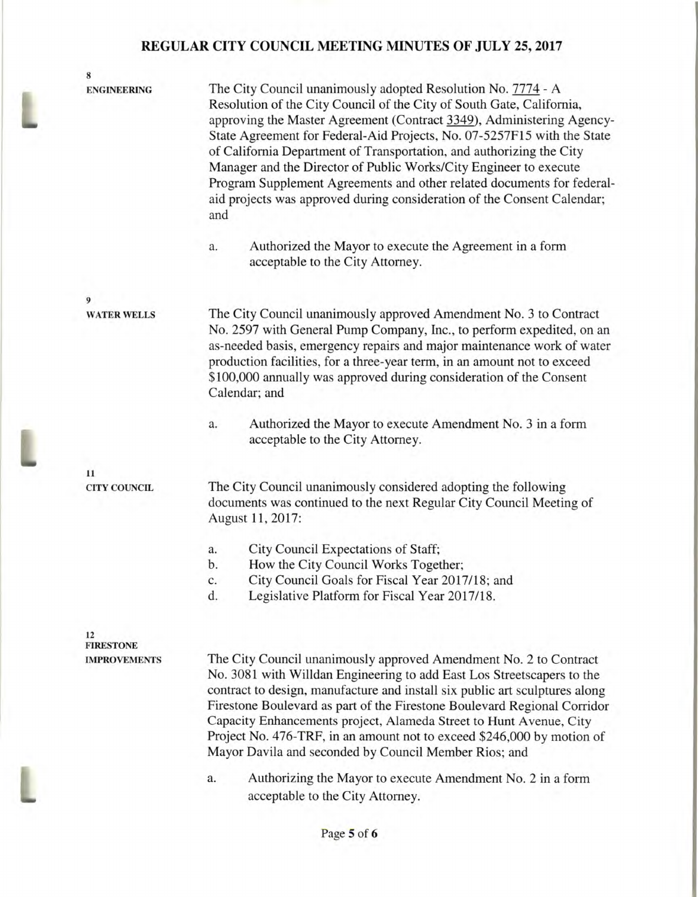8 ENGINEERING The City Council unanimously adopted Resolution No. 7774 - A Resolution of the City Council of the City of South Gate, California, approving the Master Agreement (Contract 3349), Administering Agency-State Agreement for Federal-Aid Projects, No. 07-5257F15 with the State of California Department of Transportation, and authorizing the City Manager and the Director of Public Works/City Engineer to execute Program Supplement Agreements and other related documents for federalaid projects was approved during consideration of the Consent Calendar; and a. Authorized the Mayor to execute the Agreement in a form acceptable to the City Attorney. 9 WATER WELLS The City Council unanimously approved Amendment No. 3 to Contract No. 2597 with General Pump Company, Inc., to perform expedited, on an as-needed basis, emergency repairs and major maintenance work of water production facilities, for a three-year term, in an amount not to exceed \$100,000 annually was approved during consideration of the Consent Calendar; and a. Authorized the Mayor to execute Amendment No. 3 in a form acceptable to the City Attorney. **11 CITY COUNCIL** The City Council unanimously considered adopting the following

documents was continued to the next Regular City Council Meeting of August 11, 2017:

- a. City Council Expectations of Staff;
- b. How the City Council Works Together;
- c. City Council Goals for Fiscal Year 2017/18; and
- d. Legislative Platform for Fiscal Year 2017/18.

**12 FIRESTONE** 

**IMPROVEMENTS** The City Council unanimously approved Amendment No. 2 to Contract No. 3081 with Willdan Engineering to add East Los Streetscapers to the contract to design, manufacture and install six public art sculptures along Firestone Boulevard as part of the Firestone Boulevard Regional Corridor Capacity Enhancements project, Alameda Street to Hunt Avenue, City Project No. 476-TRF, in an amount not to exceed \$246,000 by motion of Mayor Davila and seconded by Council Member Rios; and

> a. Authorizing the Mayor to execute Amendment No. 2 in a form acceptable to the City Attorney.